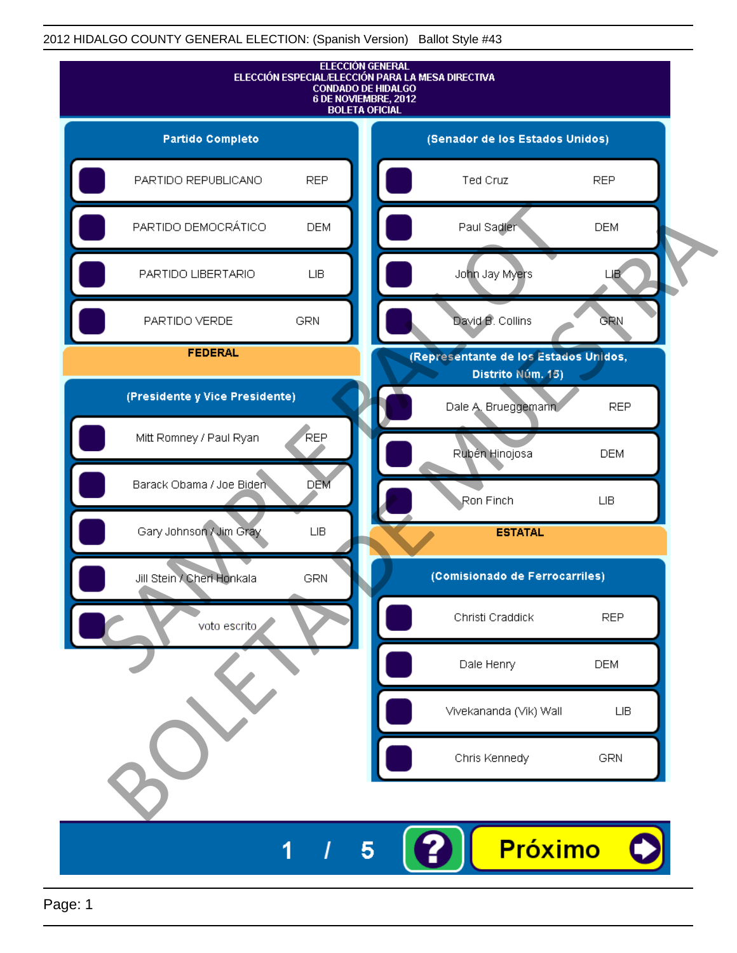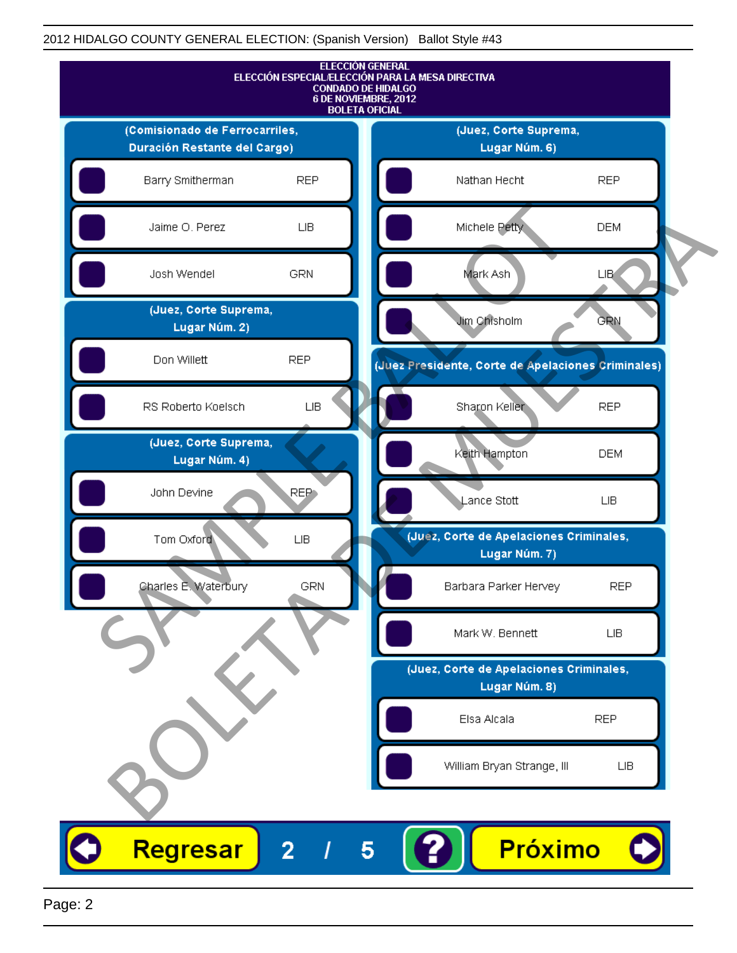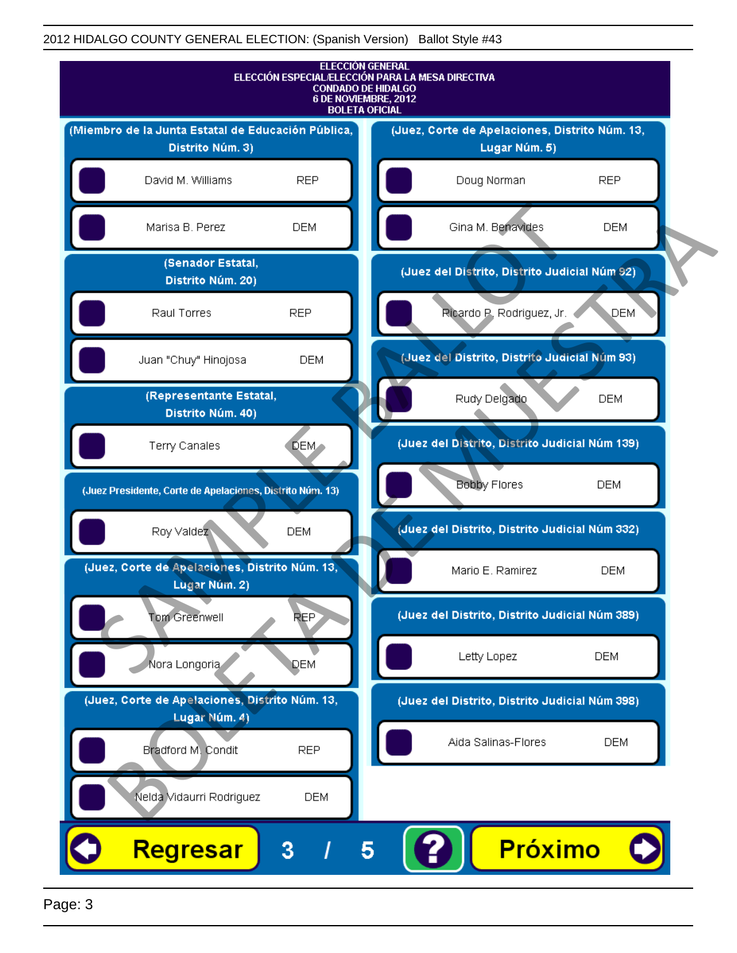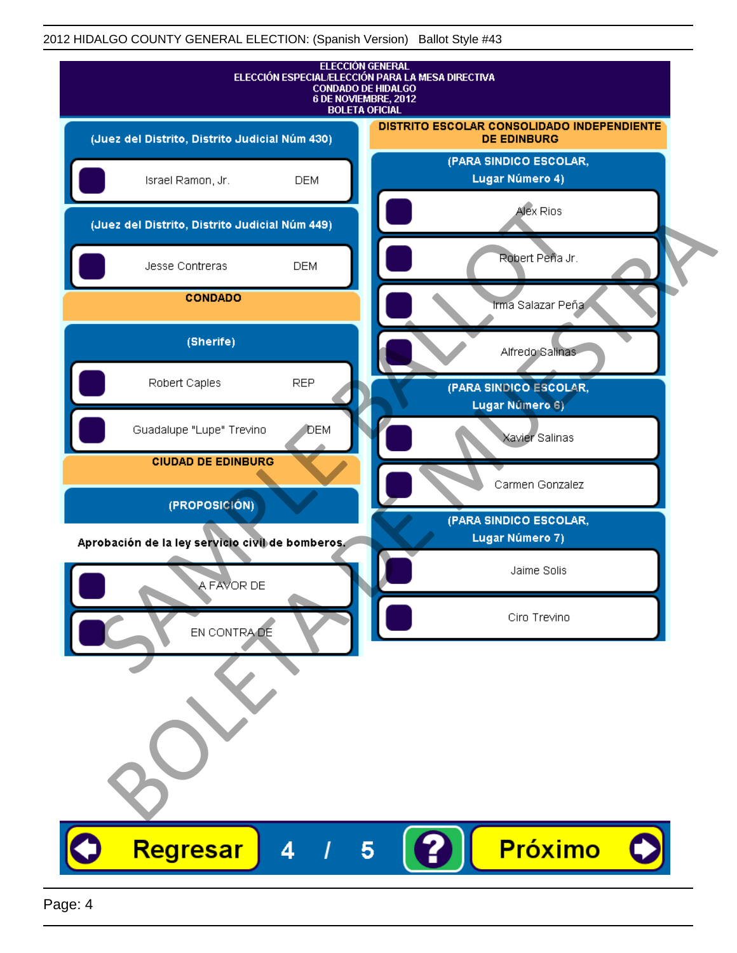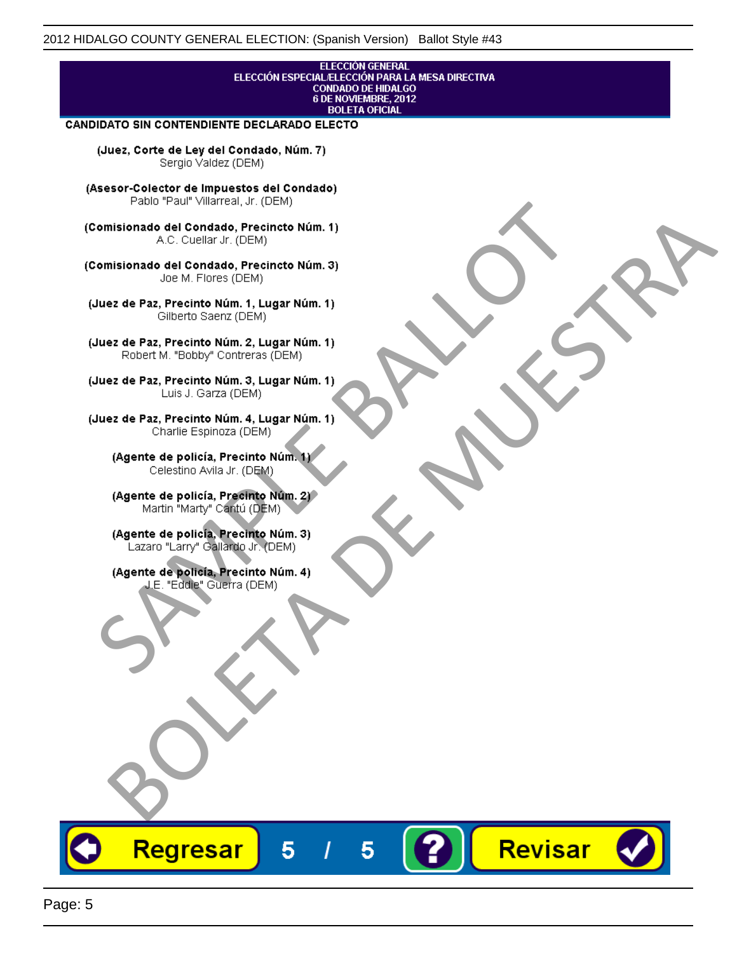# ELECCIÓN GENERAL<br>ELECCIÓN ESPECIAL/ELECCIÓN PARA LA MESA DIRECTIVA<br>CONDADO DE HIDALGO<br>6 DE NOVIEMBRE, 2012 **BOLETA OFICIAL**

Revisar

### **CANDIDATO SIN CONTENDIENTE DECLARADO ELECTO**

(Juez, Corte de Ley del Condado, Núm. 7) Sergio Valdez (DEM)

(Asesor-Colector de Impuestos del Condado)

Fallo Fall Willdrea, J.I. (DEM)<br>
Consistionado el Condado, Precincto Núm. 1)<br>
A.C. Cuellar Jr. (DEM)<br>
Ullez de Paz, Precinto Núm. 1)<br>
Juez de Paz, Precinto Núm. 1, Lugar Núm. 1)<br>
Gilberto Sentr (DEM)<br>
Robert M. "Bobby" Con misionado del Condiado, Precincto Núm. 1)<br>
Andro del Condiado, Precincto Núm. 3)<br>
ez de Paz, Precinto Núm. 21<br>
algo M. Picer Lo Saerz, Cichi (DEM)<br>
algo M. Picer Lo Saerz, Cichi (DEM)<br>
algo M. Picer Lo Saerz, Cichi (DEM)<br>

Regresar

5

5

Page: 5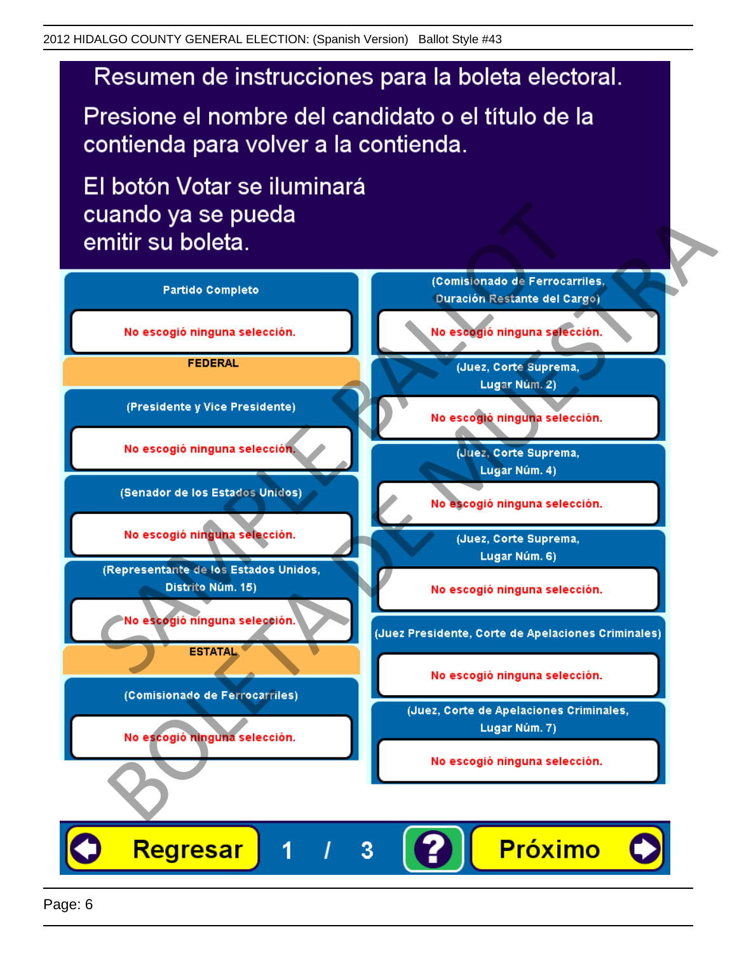# Resumen de instrucciones para la boleta electoral.

Presione el nombre del candidato o el título de la contienda para volver a la contienda.

El botón Votar se iluminará

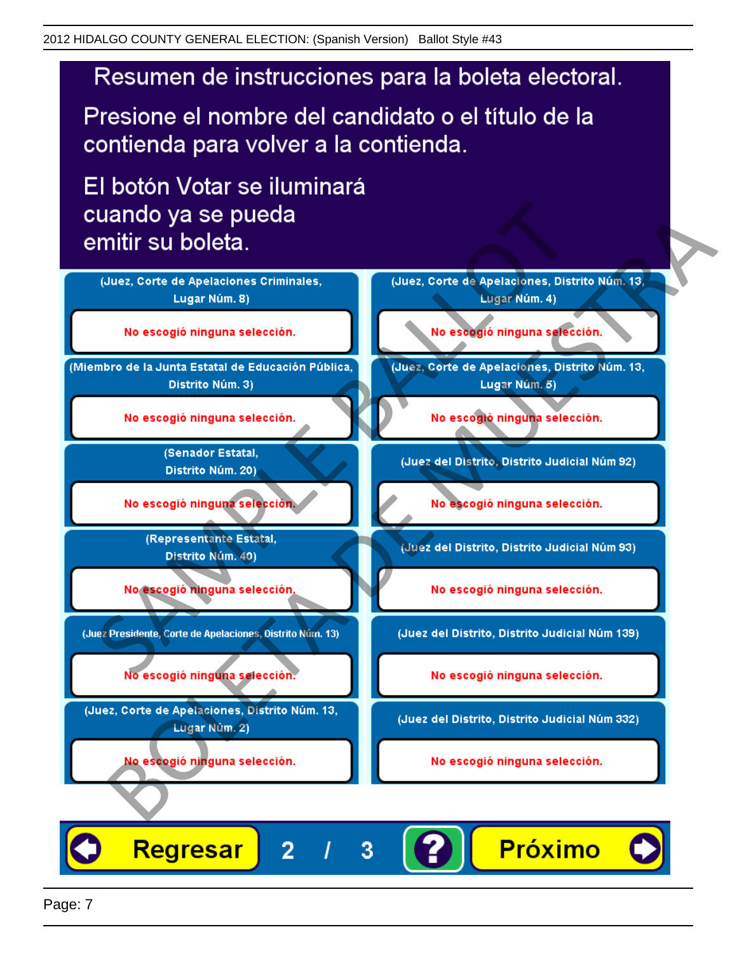# Resumen de instrucciones para la boleta electoral.

Presione el nombre del candidato o el título de la contienda para volver a la contienda.

El botón Votar se iluminará